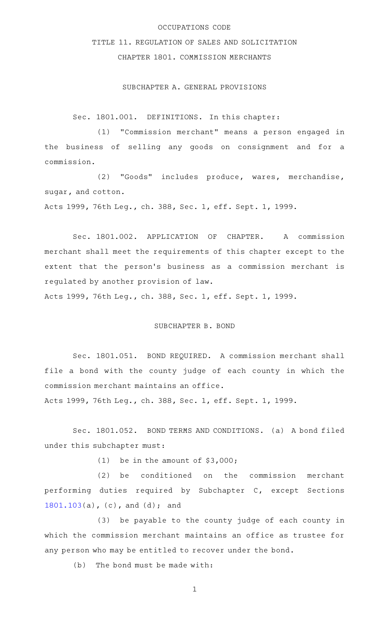### OCCUPATIONS CODE

# TITLE 11. REGULATION OF SALES AND SOLICITATION

## CHAPTER 1801. COMMISSION MERCHANTS

### SUBCHAPTER A. GENERAL PROVISIONS

Sec. 1801.001. DEFINITIONS. In this chapter:

(1) "Commission merchant" means a person engaged in the business of selling any goods on consignment and for a commission.

(2) "Goods" includes produce, wares, merchandise, sugar, and cotton.

Acts 1999, 76th Leg., ch. 388, Sec. 1, eff. Sept. 1, 1999.

Sec. 1801.002. APPLICATION OF CHAPTER. A commission merchant shall meet the requirements of this chapter except to the extent that the person's business as a commission merchant is regulated by another provision of law. Acts 1999, 76th Leg., ch. 388, Sec. 1, eff. Sept. 1, 1999.

SUBCHAPTER B. BOND

Sec. 1801.051. BOND REQUIRED. A commission merchant shall file a bond with the county judge of each county in which the commission merchant maintains an office.

Acts 1999, 76th Leg., ch. 388, Sec. 1, eff. Sept. 1, 1999.

Sec. 1801.052. BOND TERMS AND CONDITIONS. (a) A bond filed under this subchapter must:

(1) be in the amount of  $$3,000;$ 

(2) be conditioned on the commission merchant performing duties required by Subchapter C, except Sections [1801.103](http://www.statutes.legis.state.tx.us/GetStatute.aspx?Code=OC&Value=1801.103)(a), (c), and (d); and

(3) be payable to the county judge of each county in which the commission merchant maintains an office as trustee for any person who may be entitled to recover under the bond.

 $(b)$  The bond must be made with: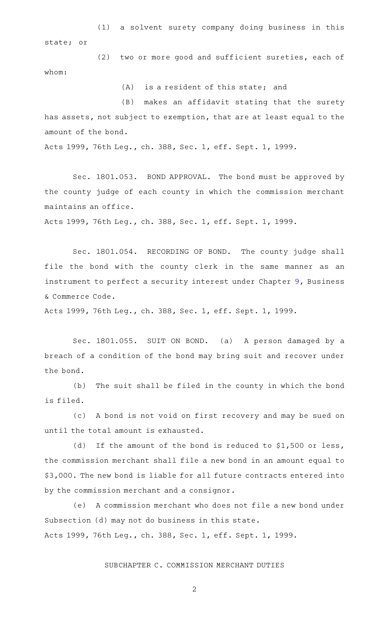(1) a solvent surety company doing business in this state; or

(2) two or more good and sufficient sureties, each of whom:

 $(A)$  is a resident of this state; and

(B) makes an affidavit stating that the surety has assets, not subject to exemption, that are at least equal to the amount of the bond.

Acts 1999, 76th Leg., ch. 388, Sec. 1, eff. Sept. 1, 1999.

Sec. 1801.053. BOND APPROVAL. The bond must be approved by the county judge of each county in which the commission merchant maintains an office.

Acts 1999, 76th Leg., ch. 388, Sec. 1, eff. Sept. 1, 1999.

Sec. 1801.054. RECORDING OF BOND. The county judge shall file the bond with the county clerk in the same manner as an instrument to perfect a security interest under Chapter [9,](http://www.statutes.legis.state.tx.us/GetStatute.aspx?Code=BC&Value=9) Business & Commerce Code.

Acts 1999, 76th Leg., ch. 388, Sec. 1, eff. Sept. 1, 1999.

Sec. 1801.055. SUIT ON BOND. (a) A person damaged by a breach of a condition of the bond may bring suit and recover under the bond.

(b) The suit shall be filed in the county in which the bond is filed.

(c)AAA bond is not void on first recovery and may be sued on until the total amount is exhausted.

(d) If the amount of the bond is reduced to  $$1,500$  or less, the commission merchant shall file a new bond in an amount equal to \$3,000. The new bond is liable for all future contracts entered into by the commission merchant and a consignor.

(e) A commission merchant who does not file a new bond under Subsection (d) may not do business in this state. Acts 1999, 76th Leg., ch. 388, Sec. 1, eff. Sept. 1, 1999.

SUBCHAPTER C. COMMISSION MERCHANT DUTIES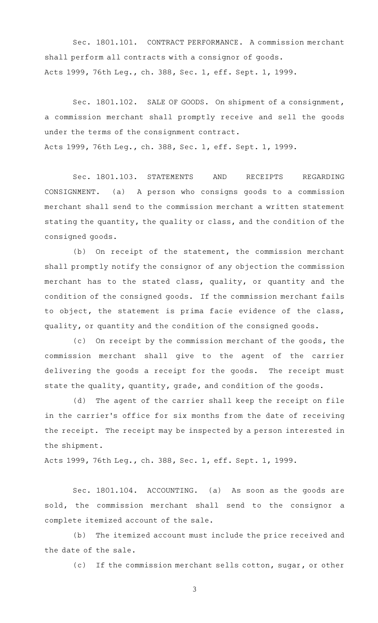Sec. 1801.101. CONTRACT PERFORMANCE. A commission merchant shall perform all contracts with a consignor of goods. Acts 1999, 76th Leg., ch. 388, Sec. 1, eff. Sept. 1, 1999.

Sec. 1801.102. SALE OF GOODS. On shipment of a consignment, a commission merchant shall promptly receive and sell the goods under the terms of the consignment contract. Acts 1999, 76th Leg., ch. 388, Sec. 1, eff. Sept. 1, 1999.

Sec. 1801.103. STATEMENTS AND RECEIPTS REGARDING CONSIGNMENT. (a) A person who consigns goods to a commission merchant shall send to the commission merchant a written statement stating the quantity, the quality or class, and the condition of the consigned goods.

 $(b)$  On receipt of the statement, the commission merchant shall promptly notify the consignor of any objection the commission merchant has to the stated class, quality, or quantity and the condition of the consigned goods. If the commission merchant fails to object, the statement is prima facie evidence of the class, quality, or quantity and the condition of the consigned goods.

(c) On receipt by the commission merchant of the goods, the commission merchant shall give to the agent of the carrier delivering the goods a receipt for the goods. The receipt must state the quality, quantity, grade, and condition of the goods.

(d) The agent of the carrier shall keep the receipt on file in the carrier's office for six months from the date of receiving the receipt. The receipt may be inspected by a person interested in the shipment.

Acts 1999, 76th Leg., ch. 388, Sec. 1, eff. Sept. 1, 1999.

Sec. 1801.104. ACCOUNTING. (a) As soon as the goods are sold, the commission merchant shall send to the consignor a complete itemized account of the sale.

(b) The itemized account must include the price received and the date of the sale.

(c) If the commission merchant sells cotton, sugar, or other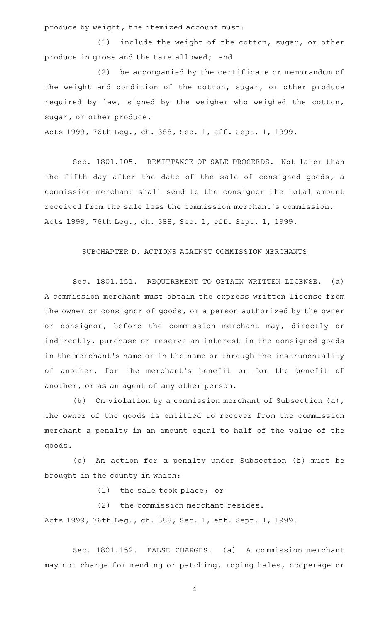produce by weight, the itemized account must:

 $(1)$  include the weight of the cotton, sugar, or other produce in gross and the tare allowed; and

(2) be accompanied by the certificate or memorandum of the weight and condition of the cotton, sugar, or other produce required by law, signed by the weigher who weighed the cotton, sugar, or other produce.

Acts 1999, 76th Leg., ch. 388, Sec. 1, eff. Sept. 1, 1999.

Sec. 1801.105. REMITTANCE OF SALE PROCEEDS. Not later than the fifth day after the date of the sale of consigned goods, a commission merchant shall send to the consignor the total amount received from the sale less the commission merchant 's commission. Acts 1999, 76th Leg., ch. 388, Sec. 1, eff. Sept. 1, 1999.

## SUBCHAPTER D. ACTIONS AGAINST COMMISSION MERCHANTS

Sec. 1801.151. REQUIREMENT TO OBTAIN WRITTEN LICENSE. (a) A commission merchant must obtain the express written license from the owner or consignor of goods, or a person authorized by the owner or consignor, before the commission merchant may, directly or indirectly, purchase or reserve an interest in the consigned goods in the merchant 's name or in the name or through the instrumentality of another, for the merchant's benefit or for the benefit of another, or as an agent of any other person.

(b) On violation by a commission merchant of Subsection  $(a)$ , the owner of the goods is entitled to recover from the commission merchant a penalty in an amount equal to half of the value of the goods.

(c) An action for a penalty under Subsection (b) must be brought in the county in which:

(1) the sale took place; or

 $(2)$  the commission merchant resides.

Acts 1999, 76th Leg., ch. 388, Sec. 1, eff. Sept. 1, 1999.

Sec. 1801.152. FALSE CHARGES. (a) A commission merchant may not charge for mending or patching, roping bales, cooperage or